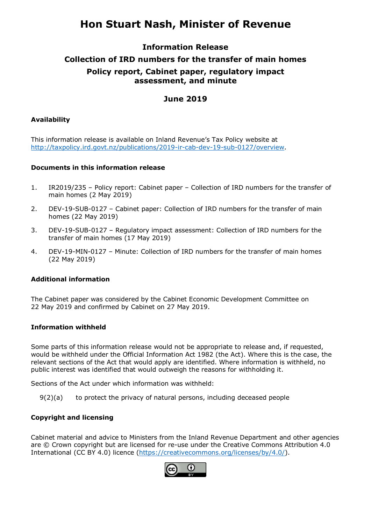# **Hon Stuart Nash, Minister of Revenue**

## **Information Release**

## **Collection of IRD numbers for the transfer of main homes Policy report, Cabinet paper, regulatory impact assessment, and minute**

## **June 2019**

### **Availability**

This information release is available on Inland Revenue's Tax Policy website at [http://taxpolicy.ird.govt.nz/publications/2019-ir-cab-dev-19-sub-0127/overview.](http://taxpolicy.ird.govt.nz/publications/2019-ir-cab-dev-19-sub-0127/overview)

### **Documents in this information release**

- 1. [IR2019/235 Policy report: Cabinet paper Collection of IRD numbers for the transfer of](#page-2-0)  main homes (2 May 2019)
- 2. [DEV-19-SUB-0127 Cabinet paper: Collection of IRD numbers for the transfer of main](#page-8-0)  homes (22 May 2019)
- 3. [DEV-19-SUB-0127 Regulatory impact assessment: Collection of IRD numbers for the](#page-16-0) transfer of main homes (17 May 2019)
- 4. [DEV-19-MIN-0127 Minute: Collection of IRD numbers for the transfer of main homes](#page-28-0)  (22 May 2019)

### **Additional information**

The Cabinet paper was considered by the Cabinet Economic Development Committee on 22 May 2019 and confirmed by Cabinet on 27 May 2019.

### **Information withheld**

Some parts of this information release would not be appropriate to release and, if requested, would be withheld under the Official Information Act 1982 (the Act). Where this is the case, the relevant sections of the Act that would apply are identified. Where information is withheld, no public interest was identified that would outweigh the reasons for withholding it.

Sections of the Act under which information was withheld:

 $9(2)(a)$  to protect the privacy of natural persons, including deceased people

### **Copyright and licensing**

Cabinet material and advice to Ministers from the Inland Revenue Department and other agencies are © Crown copyright but are licensed for re-use under the Creative Commons Attribution 4.0 International (CC BY 4.0) licence [\(https://creativecommons.org/licenses/by/4.0/\)](https://creativecommons.org/licenses/by/4.0/).

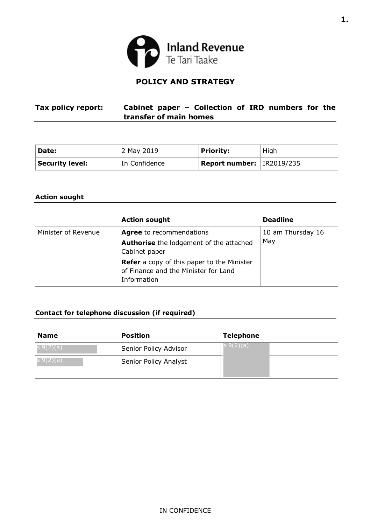

## **POLICY AND STRATEGY**

<span id="page-2-0"></span>

| Tax policy report: | Cabinet paper - Collection of IRD numbers for the |  |  |  |  |
|--------------------|---------------------------------------------------|--|--|--|--|
|                    | transfer of main homes                            |  |  |  |  |

| Date:                  | 2 May 2019    | <b>Priority:</b>                     | High |
|------------------------|---------------|--------------------------------------|------|
| <b>Security level:</b> | In Confidence | <b>Report number:</b> $ $ IR2019/235 |      |

### **Action sought**

|                     | <b>Action sought</b>                                                                                     | <b>Deadline</b>          |
|---------------------|----------------------------------------------------------------------------------------------------------|--------------------------|
| Minister of Revenue | <b>Agree</b> to recommendations<br><b>Authorise</b> the lodgement of the attached<br>Cabinet paper       | 10 am Thursday 16<br>May |
|                     | <b>Refer</b> a copy of this paper to the Minister<br>of Finance and the Minister for Land<br>Information |                          |

## **Contact for telephone discussion (if required)**

| <b>Name</b>      | <b>Position</b>       | <b>Telephone</b> |
|------------------|-----------------------|------------------|
| $ S \, 9(2)(a) $ | Senior Policy Advisor | s 9(2)(a)        |
| ;9(2)(a)         | Senior Policy Analyst |                  |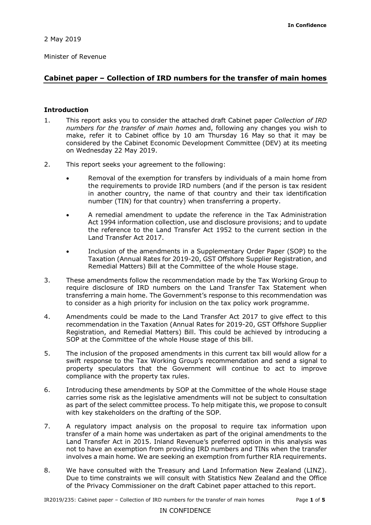Minister of Revenue

## **Cabinet paper – Collection of IRD numbers for the transfer of main homes**

### **Introduction**

- 1. This report asks you to consider the attached draft Cabinet paper *Collection of IRD numbers for the transfer of main homes* and, following any changes you wish to make, refer it to Cabinet office by 10 am Thursday 16 May so that it may be considered by the Cabinet Economic Development Committee (DEV) at its meeting on Wednesday 22 May 2019.
- 2. This report seeks your agreement to the following:
	- Removal of the exemption for transfers by individuals of a main home from the requirements to provide IRD numbers (and if the person is tax resident in another country, the name of that country and their tax identification number (TIN) for that country) when transferring a property.
	- A remedial amendment to update the reference in the Tax Administration Act 1994 information collection, use and disclosure provisions; and to update the reference to the Land Transfer Act 1952 to the current section in the Land Transfer Act 2017.
	- Inclusion of the amendments in a Supplementary Order Paper (SOP) to the Taxation (Annual Rates for 2019-20, GST Offshore Supplier Registration, and Remedial Matters) Bill at the Committee of the whole House stage.
- 3. These amendments follow the recommendation made by the Tax Working Group to require disclosure of IRD numbers on the Land Transfer Tax Statement when transferring a main home. The Government's response to this recommendation was to consider as a high priority for inclusion on the tax policy work programme.
- 4. Amendments could be made to the Land Transfer Act 2017 to give effect to this recommendation in the Taxation (Annual Rates for 2019-20, GST Offshore Supplier Registration, and Remedial Matters) Bill. This could be achieved by introducing a SOP at the Committee of the whole House stage of this bill.
- 5. The inclusion of the proposed amendments in this current tax bill would allow for a swift response to the Tax Working Group's recommendation and send a signal to property speculators that the Government will continue to act to improve compliance with the property tax rules.
- 6. Introducing these amendments by SOP at the Committee of the whole House stage carries some risk as the legislative amendments will not be subject to consultation as part of the select committee process. To help mitigate this, we propose to consult with key stakeholders on the drafting of the SOP.
- 7. A regulatory impact analysis on the proposal to require tax information upon transfer of a main home was undertaken as part of the original amendments to the Land Transfer Act in 2015. Inland Revenue's preferred option in this analysis was not to have an exemption from providing IRD numbers and TINs when the transfer involves a main home. We are seeking an exemption from further RIA requirements.
- 8. We have consulted with the Treasury and Land Information New Zealand (LINZ). Due to time constraints we will consult with Statistics New Zealand and the Office of the Privacy Commissioner on the draft Cabinet paper attached to this report.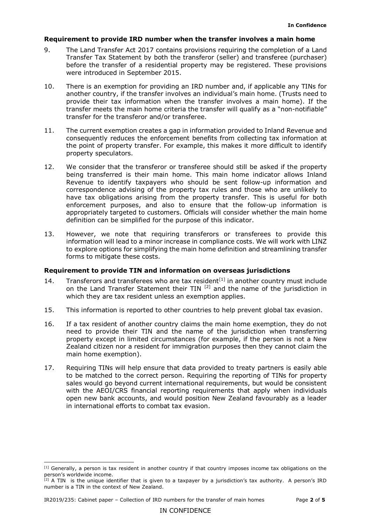### **Requirement to provide IRD number when the transfer involves a main home**

- 9. The Land Transfer Act 2017 contains provisions requiring the completion of a Land Transfer Tax Statement by both the transferor (seller) and transferee (purchaser) before the transfer of a residential property may be registered. These provisions were introduced in September 2015.
- 10. There is an exemption for providing an IRD number and, if applicable any TINs for another country, if the transfer involves an individual's main home. (Trusts need to provide their tax information when the transfer involves a main home). If the transfer meets the main home criteria the transfer will qualify as a "non-notifiable" transfer for the transferor and/or transferee.
- 11. The current exemption creates a gap in information provided to Inland Revenue and consequently reduces the enforcement benefits from collecting tax information at the point of property transfer. For example, this makes it more difficult to identify property speculators.
- 12. We consider that the transferor or transferee should still be asked if the property being transferred is their main home. This main home indicator allows Inland Revenue to identify taxpayers who should be sent follow-up information and correspondence advising of the property tax rules and those who are unlikely to have tax obligations arising from the property transfer. This is useful for both enforcement purposes, and also to ensure that the follow-up information is appropriately targeted to customers. Officials will consider whether the main home definition can be simplified for the purpose of this indicator.
- 13. However, we note that requiring transferors or transferees to provide this information will lead to a minor increase in compliance costs. We will work with LINZ to explore options for simplifying the main home definition and streamlining transfer forms to mitigate these costs.

### **Requirement to provide TIN and information on overseas jurisdictions**

- 14. Transferors and transferees who are tax resident<sup>[\[1\]](#page-4-0)</sup> in another country must include on the Land Transfer Statement their TIN  $^{[2]}$  $^{[2]}$  $^{[2]}$  and the name of the jurisdiction in which they are tax resident unless an exemption applies.
- 15. This information is reported to other countries to help prevent global tax evasion.
- 16. If a tax resident of another country claims the main home exemption, they do not need to provide their TIN and the name of the jurisdiction when transferring property except in limited circumstances (for example, if the person is not a New Zealand citizen nor a resident for immigration purposes then they cannot claim the main home exemption).
- 17. Requiring TINs will help ensure that data provided to treaty partners is easily able to be matched to the correct person. Requiring the reporting of TINs for property sales would go beyond current international requirements, but would be consistent with the AEOI/CRS financial reporting requirements that apply when individuals open new bank accounts, and would position New Zealand favourably as a leader in international efforts to combat tax evasion.

<span id="page-4-0"></span>i<br>I  $[1]$  Generally, a person is tax resident in another country if that country imposes income tax obligations on the person's worldwide income.

<span id="page-4-1"></span><sup>[2]</sup> A TIN is the unique identifier that is given to a taxpayer by a jurisdiction's tax authority. A person's IRD number is a TIN in the context of New Zealand.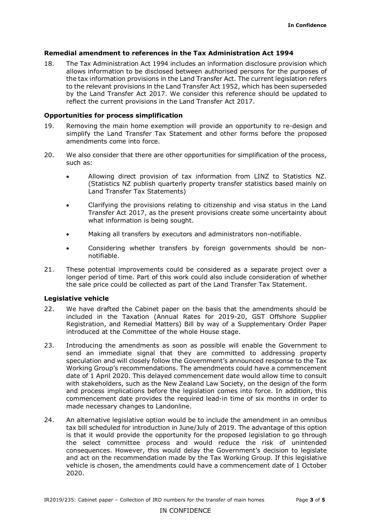### **Remedial amendment to references in the Tax Administration Act 1994**

18. The Tax Administration Act 1994 includes an information disclosure provision which allows information to be disclosed between authorised persons for the purposes of the tax information provisions in the Land Transfer Act. The current legislation refers to the relevant provisions in the Land Transfer Act 1952, which has been superseded by the Land Transfer Act 2017. We consider this reference should be updated to reflect the current provisions in the Land Transfer Act 2017.

### **Opportunities for process simplification**

- 19. Removing the main home exemption will provide an opportunity to re-design and simplify the Land Transfer Tax Statement and other forms before the proposed amendments come into force.
- 20. We also consider that there are other opportunities for simplification of the process, such as:
	- Allowing direct provision of tax information from LINZ to Statistics NZ. (Statistics NZ publish quarterly property transfer statistics based mainly on Land Transfer Tax Statements)
	- Clarifying the provisions relating to citizenship and visa status in the Land Transfer Act 2017, as the present provisions create some uncertainty about what information is being sought.
	- Making all transfers by executors and administrators non-notifiable.
	- Considering whether transfers by foreign governments should be nonnotifiable.
- 21. These potential improvements could be considered as a separate project over a longer period of time. Part of this work could also include consideration of whether the sale price could be collected as part of the Land Transfer Tax Statement.

### **Legislative vehicle**

- 22. We have drafted the Cabinet paper on the basis that the amendments should be included in the Taxation (Annual Rates for 2019-20, GST Offshore Supplier Registration, and Remedial Matters) Bill by way of a Supplementary Order Paper introduced at the Committee of the whole House stage.
- 23. Introducing the amendments as soon as possible will enable the Government to send an immediate signal that they are committed to addressing property speculation and will closely follow the Government's announced response to the Tax Working Group's recommendations. The amendments could have a commencement date of 1 April 2020. This delayed commencement date would allow time to consult with stakeholders, such as the New Zealand Law Society, on the design of the form and process implications before the legislation comes into force. In addition, this commencement date provides the required lead-in time of six months in order to made necessary changes to Landonline.
- 24. An alternative legislative option would be to include the amendment in an omnibus tax bill scheduled for introduction in June/July of 2019. The advantage of this option is that it would provide the opportunity for the proposed legislation to go through the select committee process and would reduce the risk of unintended consequences. However, this would delay the Government's decision to legislate and act on the recommendation made by the Tax Working Group. If this legislative vehicle is chosen, the amendments could have a commencement date of 1 October 2020.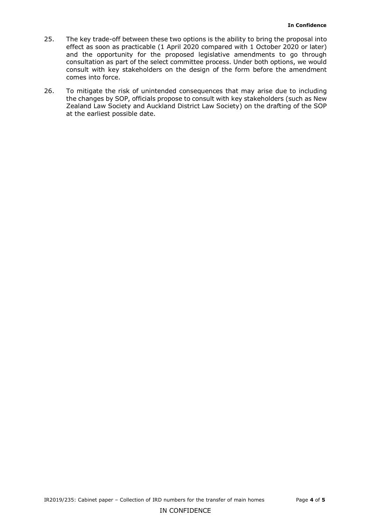- 25. The key trade-off between these two options is the ability to bring the proposal into effect as soon as practicable (1 April 2020 compared with 1 October 2020 or later) and the opportunity for the proposed legislative amendments to go through consultation as part of the select committee process. Under both options, we would consult with key stakeholders on the design of the form before the amendment comes into force.
- 26. To mitigate the risk of unintended consequences that may arise due to including the changes by SOP, officials propose to consult with key stakeholders (such as New Zealand Law Society and Auckland District Law Society) on the drafting of the SOP at the earliest possible date.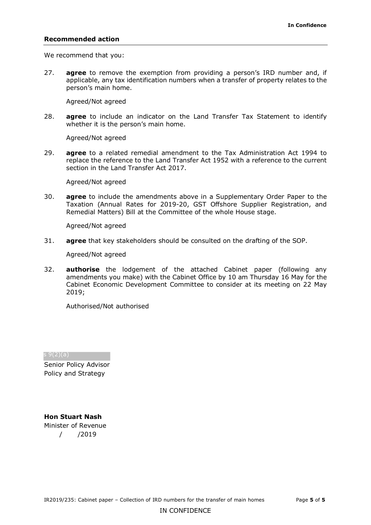#### **Recommended action**

We recommend that you:

27. **agree** to remove the exemption from providing a person's IRD number and, if applicable, any tax identification numbers when a transfer of property relates to the person's main home.

Agreed/Not agreed

28. **agree** to include an indicator on the Land Transfer Tax Statement to identify whether it is the person's main home.

Agreed/Not agreed

29. **agree** to a related remedial amendment to the Tax Administration Act 1994 to replace the reference to the Land Transfer Act 1952 with a reference to the current section in the Land Transfer Act 2017.

Agreed/Not agreed

30. **agree** to include the amendments above in a Supplementary Order Paper to the Taxation (Annual Rates for 2019-20, GST Offshore Supplier Registration, and Remedial Matters) Bill at the Committee of the whole House stage.

Agreed/Not agreed

31. **agree** that key stakeholders should be consulted on the drafting of the SOP.

Agreed/Not agreed

32. **authorise** the lodgement of the attached Cabinet paper (following any amendments you make) with the Cabinet Office by 10 am Thursday 16 May for the Cabinet Economic Development Committee to consider at its meeting on 22 May 2019;

Authorised/Not authorised

s 9(2)(a)

Senior Policy Advisor Policy and Strategy

**Hon Stuart Nash** Minister of Revenue / /2019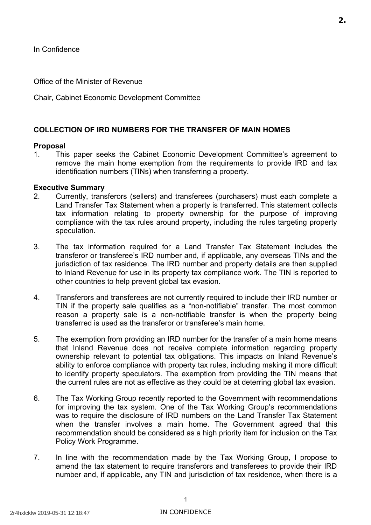<span id="page-8-0"></span>Office of the Minister of Revenue

Chair, Cabinet Economic Development Committee

## **COLLECTION OF IRD NUMBERS FOR THE TRANSFER OF MAIN HOMES**

### **Proposal**

 1. This paper seeks the Cabinet Economic Development Committee's agreement to remove the main home exemption from the requirements to provide IRD and tax identification numbers (TINs) when transferring a property.

### **Executive Summary**

- 2. Currently, transferors (sellers) and transferees (purchasers) must each complete a Land Transfer Tax Statement when a property is transferred. This statement collects tax information relating to property ownership for the purpose of improving compliance with the tax rules around property, including the rules targeting property speculation.
- 3. The tax information required for a Land Transfer Tax Statement includes the transferor or transferee's IRD number and, if applicable, any overseas TINs and the jurisdiction of tax residence. The IRD number and property details are then supplied to Inland Revenue for use in its property tax compliance work. The TIN is reported to other countries to help prevent global tax evasion.
- 4. Transferors and transferees are not currently required to include their IRD number or TIN if the property sale qualifies as a "non-notifiable" transfer. The most common reason a property sale is a non-notifiable transfer is when the property being transferred is used as the transferor or transferee's main home.
- 5. The exemption from providing an IRD number for the transfer of a main home means that Inland Revenue does not receive complete information regarding property ownership relevant to potential tax obligations. This impacts on Inland Revenue's ability to enforce compliance with property tax rules, including making it more difficult to identify property speculators. The exemption from providing the TIN means that the current rules are not as effective as they could be at deterring global tax evasion.
- 6. The Tax Working Group recently reported to the Government with recommendations for improving the tax system. One of the Tax Working Group's recommendations was to require the disclosure of IRD numbers on the Land Transfer Tax Statement when the transfer involves a main home. The Government agreed that this recommendation should be considered as a high priority item for inclusion on the Tax Policy Work Programme.
- 7. In line with the recommendation made by the Tax Working Group, I propose to amend the tax statement to require transferors and transferees to provide their IRD number and, if applicable, any TIN and jurisdiction of tax residence, when there is a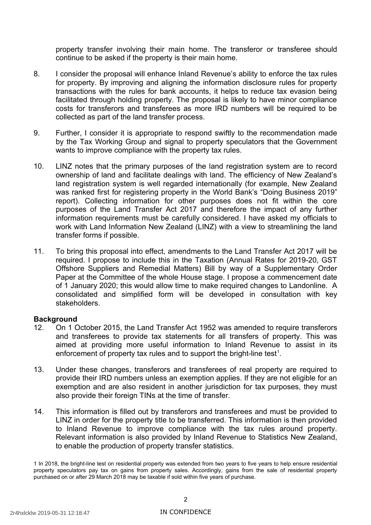property transfer involving their main home. The transferor or transferee should continue to be asked if the property is their main home.

- 8. I consider the proposal will enhance Inland Revenue's ability to enforce the tax rules for property. By improving and aligning the information disclosure rules for property transactions with the rules for bank accounts, it helps to reduce tax evasion being facilitated through holding property. The proposal is likely to have minor compliance costs for transferors and transferees as more IRD numbers will be required to be collected as part of the land transfer process.
- 9. Further, I consider it is appropriate to respond swiftly to the recommendation made by the Tax Working Group and signal to property speculators that the Government wants to improve compliance with the property tax rules.
- 10. LINZ notes that the primary purposes of the land registration system are to record ownership of land and facilitate dealings with land. The efficiency of New Zealand's land registration system is well regarded internationally (for example, New Zealand was ranked first for registering property in the World Bank's "Doing Business 2019" report). Collecting information for other purposes does not fit within the core purposes of the Land Transfer Act 2017 and therefore the impact of any further information requirements must be carefully considered. I have asked my officials to work with Land Information New Zealand (LINZ) with a view to streamlining the land transfer forms if possible.
- 11. To bring this proposal into effect, amendments to the Land Transfer Act 2017 will be required. I propose to include this in the Taxation (Annual Rates for 2019-20, GST Offshore Suppliers and Remedial Matters) Bill by way of a Supplementary Order Paper at the Committee of the whole House stage. I propose a commencement date of 1 January 2020; this would allow time to make required changes to Landonline. A consolidated and simplified form will be developed in consultation with key stakeholders.

### **Background**

- 12. On 1 October 2015, the Land Transfer Act 1952 was amended to require transferors and transferees to provide tax statements for all transfers of property. This was aimed at providing more useful information to Inland Revenue to assist in its enforcement of property tax rules and to support the bright-line test<sup>[1](#page-9-0)</sup>.
- 13. Under these changes, transferors and transferees of real property are required to provide their IRD numbers unless an exemption applies. If they are not eligible for an exemption and are also resident in another jurisdiction for tax purposes, they must also provide their foreign TINs at the time of transfer.
- 14. This information is filled out by transferors and transferees and must be provided to LINZ in order for the property title to be transferred. This information is then provided to Inland Revenue to improve compliance with the tax rules around property. Relevant information is also provided by Inland Revenue to Statistics New Zealand, to enable the production of property transfer statistics.

<span id="page-9-0"></span> 1 In 2018, the bright-line test on residential property was extended from two years to five years to help ensure residential property speculators pay tax on gains from property sales. Accordingly, gains from the sale of residential property purchased on or after 29 March 2018 may be taxable if sold within five years of purchase.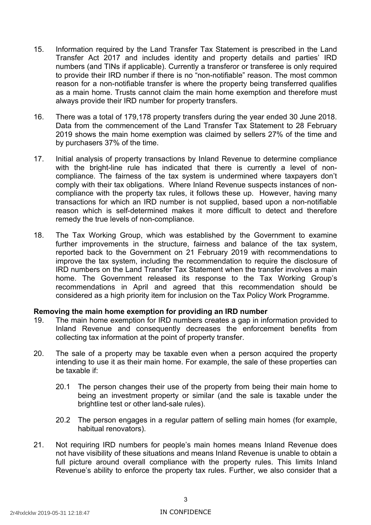- 15. Information required by the Land Transfer Tax Statement is prescribed in the Land Transfer Act 2017 and includes identity and property details and parties' IRD numbers (and TINs if applicable). Currently a transferor or transferee is only required to provide their IRD number if there is no "non-notifiable" reason. The most common reason for a non-notifiable transfer is where the property being transferred qualifies as a main home. Trusts cannot claim the main home exemption and therefore must always provide their IRD number for property transfers.
- 16. There was a total of 179,178 property transfers during the year ended 30 June 2018. Data from the commencement of the Land Transfer Tax Statement to 28 February 2019 shows the main home exemption was claimed by sellers 27% of the time and by purchasers 37% of the time.
- 17. Initial analysis of property transactions by Inland Revenue to determine compliance with the bright-line rule has indicated that there is currently a level of non- compliance. The fairness of the tax system is undermined where taxpayers don't comply with their tax obligations. Where Inland Revenue suspects instances of non- compliance with the property tax rules, it follows these up. However, having many transactions for which an IRD number is not supplied, based upon a non-notifiable reason which is self-determined makes it more difficult to detect and therefore remedy the true levels of non-compliance.
- 18. The Tax Working Group, which was established by the Government to examine further improvements in the structure, fairness and balance of the tax system, reported back to the Government on 21 February 2019 with recommendations to improve the tax system, including the recommendation to require the disclosure of IRD numbers on the Land Transfer Tax Statement when the transfer involves a main home. The Government released its response to the Tax Working Group's recommendations in April and agreed that this recommendation should be considered as a high priority item for inclusion on the Tax Policy Work Programme.

### **Removing the main home exemption for providing an IRD number**

- 19. The main home exemption for IRD numbers creates a gap in information provided to Inland Revenue and consequently decreases the enforcement benefits from collecting tax information at the point of property transfer.
- 20. The sale of a property may be taxable even when a person acquired the property intending to use it as their main home. For example, the sale of these properties can be taxable if:
	- 20.1 The person changes their use of the property from being their main home to being an investment property or similar (and the sale is taxable under the brightline test or other land-sale rules).
	- 20.2 The person engages in a regular pattern of selling main homes (for example, habitual renovators).
- 21. Not requiring IRD numbers for people's main homes means Inland Revenue does not have visibility of these situations and means Inland Revenue is unable to obtain a full picture around overall compliance with the property rules. This limits Inland Revenue's ability to enforce the property tax rules. Further, we also consider that a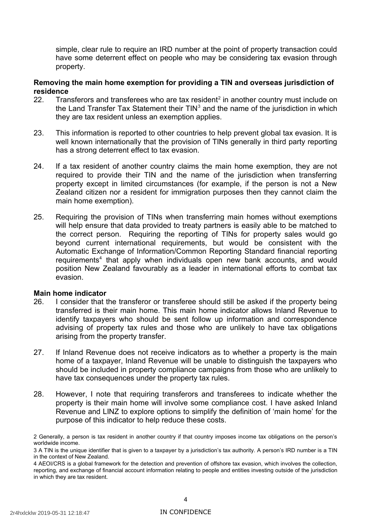simple, clear rule to require an IRD number at the point of property transaction could have some deterrent effect on people who may be considering tax evasion through property.

### **Removing the main home exemption for providing a TIN and overseas jurisdiction of residence**

- 22. Transferors and transferees who are tax resident<sup>2</sup> in another country must include on the Land Transfer Tax Statement their  $TIN<sup>3</sup>$  and the name of the jurisdiction in which they are tax resident unless an exemption applies.
- 23. This information is reported to other countries to help prevent global tax evasion. It is well known internationally that the provision of TINs generally in third party reporting has a strong deterrent effect to tax evasion.
- 24. If a tax resident of another country claims the main home exemption, they are not required to provide their TIN and the name of the jurisdiction when transferring property except in limited circumstances (for example, if the person is not a New Zealand citizen nor a resident for immigration purposes then they cannot claim the main home exemption).
- 25. Requiring the provision of TINs when transferring main homes without exemptions will help ensure that data provided to treaty partners is easily able to be matched to the correct person. Requiring the reporting of TINs for property sales would go beyond current international requirements, but would be consistent with the Automatic Exchange of Information/Common Reporting Standard financial reporting requirements<sup>4</sup> that apply when individuals open new bank accounts, and would position New Zealand favourably as a leader in international efforts to combat tax evasion.

### **Main home indicator**

- 26. I consider that the transferor or transferee should still be asked if the property being transferred is their main home. This main home indicator allows Inland Revenue to identify taxpayers who should be sent follow up information and correspondence advising of property tax rules and those who are unlikely to have tax obligations arising from the property transfer.
- 27. If Inland Revenue does not receive indicators as to whether a property is the main home of a taxpayer, Inland Revenue will be unable to distinguish the taxpayers who should be included in property compliance campaigns from those who are unlikely to have tax consequences under the property tax rules.
- 28. However, I note that requiring transferors and transferees to indicate whether the property is their main home will involve some compliance cost. I have asked Inland Revenue and LINZ to explore options to simplify the definition of 'main home' for the purpose of this indicator to help reduce these costs.

<span id="page-11-0"></span> 2 Generally, a person is tax resident in another country if that country imposes income tax obligations on the person's worldwide income.

<span id="page-11-1"></span> 3 A TIN is the unique identifier that is given to a taxpayer by a jurisdiction's tax authority. A person's IRD number is a TIN in the context of New Zealand.

<span id="page-11-2"></span> 4 AEOI/CRS is a global framework for the detection and prevention of offshore tax evasion, which involves the collection, reporting, and exchange of financial account information relating to people and entities investing outside of the jurisdiction in which they are tax resident.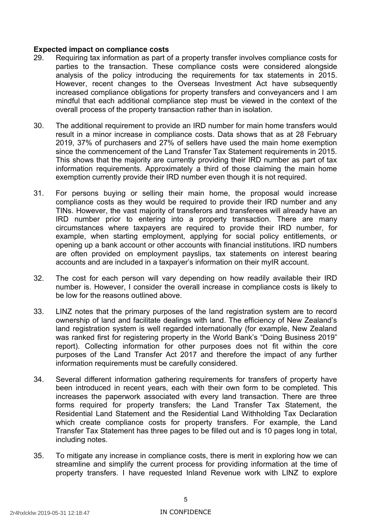### **Expected impact on compliance costs**

- 29. Requiring tax information as part of a property transfer involves compliance costs for parties to the transaction. These compliance costs were considered alongside analysis of the policy introducing the requirements for tax statements in 2015. However, recent changes to the Overseas Investment Act have subsequently increased compliance obligations for property transfers and conveyancers and I am mindful that each additional compliance step must be viewed in the context of the overall process of the property transaction rather than in isolation.
- 30. The additional requirement to provide an IRD number for main home transfers would result in a minor increase in compliance costs. Data shows that as at 28 February 2019, 37% of purchasers and 27% of sellers have used the main home exemption since the commencement of the Land Transfer Tax Statement requirements in 2015. This shows that the majority are currently providing their IRD number as part of tax information requirements. Approximately a third of those claiming the main home exemption currently provide their IRD number even though it is not required.
- 31. For persons buying or selling their main home, the proposal would increase compliance costs as they would be required to provide their IRD number and any TINs. However, the vast majority of transferors and transferees will already have an IRD number prior to entering into a property transaction. There are many circumstances where taxpayers are required to provide their IRD number, for example, when starting employment, applying for social policy entitlements, or opening up a bank account or other accounts with financial institutions. IRD numbers are often provided on employment payslips, tax statements on interest bearing accounts and are included in a taxpayer's information on their myIR account.
- 32. The cost for each person will vary depending on how readily available their IRD number is. However, I consider the overall increase in compliance costs is likely to be low for the reasons outlined above.
- 33. LINZ notes that the primary purposes of the land registration system are to record ownership of land and facilitate dealings with land. The efficiency of New Zealand's land registration system is well regarded internationally (for example, New Zealand was ranked first for registering property in the World Bank's "Doing Business 2019" report). Collecting information for other purposes does not fit within the core purposes of the Land Transfer Act 2017 and therefore the impact of any further information requirements must be carefully considered.
- 34. Several different information gathering requirements for transfers of property have been introduced in recent years, each with their own form to be completed. This increases the paperwork associated with every land transaction. There are three forms required for property transfers; the Land Transfer Tax Statement, the Residential Land Statement and the Residential Land Withholding Tax Declaration which create compliance costs for property transfers. For example, the Land Transfer Tax Statement has three pages to be filled out and is 10 pages long in total, including notes.
- 35. To mitigate any increase in compliance costs, there is merit in exploring how we can streamline and simplify the current process for providing information at the time of property transfers. I have requested Inland Revenue work with LINZ to explore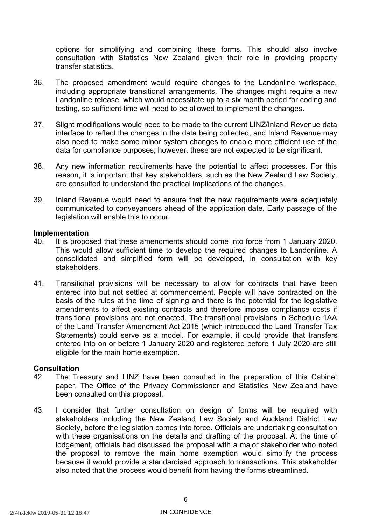options for simplifying and combining these forms. This should also involve consultation with Statistics New Zealand given their role in providing property transfer statistics.

- 36. The proposed amendment would require changes to the Landonline workspace, including appropriate transitional arrangements. The changes might require a new Landonline release, which would necessitate up to a six month period for coding and testing, so sufficient time will need to be allowed to implement the changes.
- 37. Slight modifications would need to be made to the current LINZ/Inland Revenue data interface to reflect the changes in the data being collected, and Inland Revenue may also need to make some minor system changes to enable more efficient use of the data for compliance purposes; however, these are not expected to be significant.
- 38. Any new information requirements have the potential to affect processes. For this reason, it is important that key stakeholders, such as the New Zealand Law Society, are consulted to understand the practical implications of the changes.
- 39. Inland Revenue would need to ensure that the new requirements were adequately communicated to conveyancers ahead of the application date. Early passage of the legislation will enable this to occur.

### **Implementation**

- 40. It is proposed that these amendments should come into force from 1 January 2020. This would allow sufficient time to develop the required changes to Landonline. A consolidated and simplified form will be developed, in consultation with key stakeholders.
- 41. Transitional provisions will be necessary to allow for contracts that have been entered into but not settled at commencement. People will have contracted on the basis of the rules at the time of signing and there is the potential for the legislative amendments to affect existing contracts and therefore impose compliance costs if transitional provisions are not enacted. The transitional provisions in Schedule 1AA of the Land Transfer Amendment Act 2015 (which introduced the Land Transfer Tax Statements) could serve as a model. For example, it could provide that transfers entered into on or before 1 January 2020 and registered before 1 July 2020 are still eligible for the main home exemption.

### **Consultation**

- 42. The Treasury and LINZ have been consulted in the preparation of this Cabinet paper. The Office of the Privacy Commissioner and Statistics New Zealand have been consulted on this proposal.
- 43. I consider that further consultation on design of forms will be required with stakeholders including the New Zealand Law Society and Auckland District Law Society, before the legislation comes into force. Officials are undertaking consultation with these organisations on the details and drafting of the proposal. At the time of lodgement, officials had discussed the proposal with a major stakeholder who noted the proposal to remove the main home exemption would simplify the process because it would provide a standardised approach to transactions. This stakeholder also noted that the process would benefit from having the forms streamlined.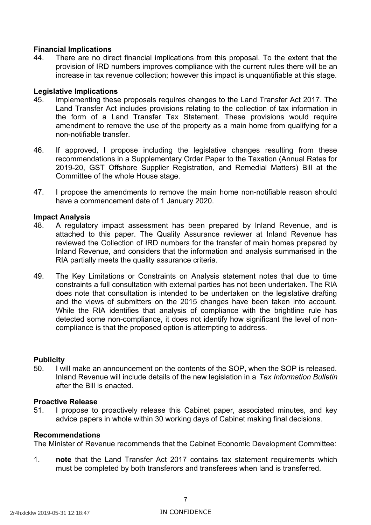### **Financial Implications**

 44. There are no direct financial implications from this proposal. To the extent that the provision of IRD numbers improves compliance with the current rules there will be an increase in tax revenue collection; however this impact is unquantifiable at this stage.

### **Legislative Implications**

- 45. Implementing these proposals requires changes to the Land Transfer Act 2017. The Land Transfer Act includes provisions relating to the collection of tax information in the form of a Land Transfer Tax Statement. These provisions would require amendment to remove the use of the property as a main home from qualifying for a non-notifiable transfer.
- 46. If approved, I propose including the legislative changes resulting from these recommendations in a Supplementary Order Paper to the Taxation (Annual Rates for 2019-20, GST Offshore Supplier Registration, and Remedial Matters) Bill at the Committee of the whole House stage.
- 47. I propose the amendments to remove the main home non-notifiable reason should have a commencement date of 1 January 2020.

### **Impact Analysis**

- 48. A regulatory impact assessment has been prepared by Inland Revenue, and is attached to this paper. The Quality Assurance reviewer at Inland Revenue has reviewed the Collection of IRD numbers for the transfer of main homes prepared by Inland Revenue, and considers that the information and analysis summarised in the RIA partially meets the quality assurance criteria.
- 49. The Key Limitations or Constraints on Analysis statement notes that due to time constraints a full consultation with external parties has not been undertaken. The RIA does note that consultation is intended to be undertaken on the legislative drafting and the views of submitters on the 2015 changes have been taken into account. While the RIA identifies that analysis of compliance with the brightline rule has detected some non-compliance, it does not identify how significant the level of non-compliance is that the proposed option is attempting to address.

### **Publicity**

 50. I will make an announcement on the contents of the SOP, when the SOP is released. Inland Revenue will include details of the new legislation in a *Tax Information Bulletin*  after the Bill is enacted.

### **Proactive Release**

 51. I propose to proactively release this Cabinet paper, associated minutes, and key advice papers in whole within 30 working days of Cabinet making final decisions.

### **Recommendations**

The Minister of Revenue recommends that the Cabinet Economic Development Committee:

 1. **note** that the Land Transfer Act 2017 contains tax statement requirements which must be completed by both transferors and transferees when land is transferred.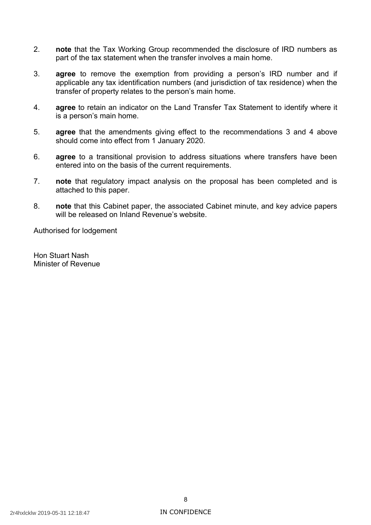- 2. **note** that the Tax Working Group recommended the disclosure of IRD numbers as part of the tax statement when the transfer involves a main home.
- 3. **agree** to remove the exemption from providing a person's IRD number and if applicable any tax identification numbers (and jurisdiction of tax residence) when the transfer of property relates to the person's main home.
- 4. **agree** to retain an indicator on the Land Transfer Tax Statement to identify where it is a person's main home.
- 5. **agree** that the amendments giving effect to the recommendations 3 and 4 above should come into effect from 1 January 2020.
- 6. **agree** to a transitional provision to address situations where transfers have been entered into on the basis of the current requirements.
- 7. **note** that regulatory impact analysis on the proposal has been completed and is attached to this paper.
- will be released on Inland Revenue's website. 8. **note** that this Cabinet paper, the associated Cabinet minute, and key advice papers

Authorised for lodgement

 Hon Stuart Nash Minister of Revenue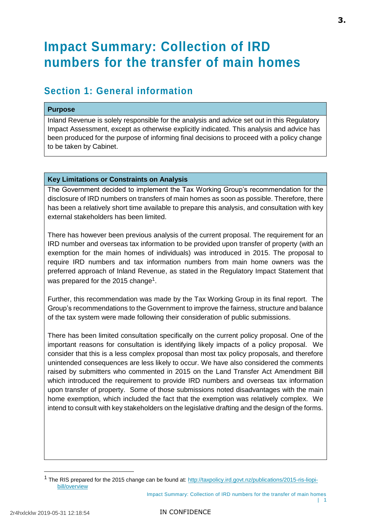# <span id="page-16-0"></span>**Impact Summary: Collection of IRD numbers for the transfer of main homes**

## **Section 1: General information**

### **Purpose**

Inland Revenue is solely responsible for the analysis and advice set out in this Regulatory Impact Assessment, except as otherwise explicitly indicated. This analysis and advice has been produced for the purpose of informing final decisions to proceed with a policy change to be taken by Cabinet.

### **Key Limitations or Constraints on Analysis**

The Government decided to implement the Tax Working Group's recommendation for the disclosure of IRD numbers on transfers of main homes as soon as possible. Therefore, there has been a relatively short time available to prepare this analysis, and consultation with key external stakeholders has been limited.

There has however been previous analysis of the current proposal. The requirement for an IRD number and overseas tax information to be provided upon transfer of property (with an exemption for the main homes of individuals) was introduced in 2015. The proposal to require IRD numbers and tax information numbers from main home owners was the preferred approach of Inland Revenue, as stated in the Regulatory Impact Statement that was prepared for the 2015 change<sup>1</sup>.

Further, this recommendation was made by the Tax Working Group in its final report. The Group's recommendations to the Government to improve the fairness, structure and balance of the tax system were made following their consideration of public submissions.

There has been limited consultation specifically on the current policy proposal. One of the important reasons for consultation is identifying likely impacts of a policy proposal. We consider that this is a less complex proposal than most tax policy proposals, and therefore unintended consequences are less likely to occur. We have also considered the comments raised by submitters who commented in 2015 on the Land Transfer Act Amendment Bill which introduced the requirement to provide IRD numbers and overseas tax information upon transfer of property. Some of those submissions noted disadvantages with the main home exemption, which included the fact that the exemption was relatively complex. We intend to consult with key stakeholders on the legislative drafting and the design of the forms.

<sup>&</sup>lt;sup>1</sup> The RIS prepared for the 2015 change can be found at: [http://taxpolicy.ird.govt.nz/publications/2015-ris-liopi](http://taxpolicy.ird.govt.nz/publications/2015-ris-liopi-bill/overview)[bill/overview](http://taxpolicy.ird.govt.nz/publications/2015-ris-liopi-bill/overview)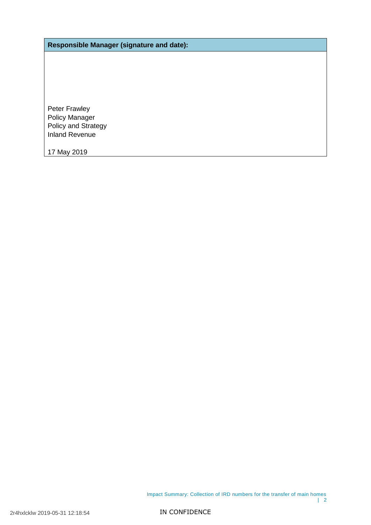**Responsible Manager (signature and date):**

Peter Frawley Policy Manager Policy and Strategy Inland Revenue

17 May 2019

Impact Summary: Collection of IRD numbers for the transfer of main homes | 2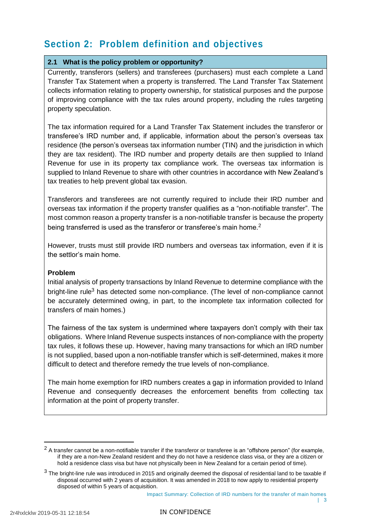# **Section 2: Problem definition and objectives**

### **2.1 What is the policy problem or opportunity?**

Currently, transferors (sellers) and transferees (purchasers) must each complete a Land Transfer Tax Statement when a property is transferred. The Land Transfer Tax Statement collects information relating to property ownership, for statistical purposes and the purpose of improving compliance with the tax rules around property, including the rules targeting property speculation.

The tax information required for a Land Transfer Tax Statement includes the transferor or transferee's IRD number and, if applicable, information about the person's overseas tax residence (the person's overseas tax information number (TIN) and the jurisdiction in which they are tax resident). The IRD number and property details are then supplied to Inland Revenue for use in its property tax compliance work. The overseas tax information is supplied to Inland Revenue to share with other countries in accordance with New Zealand's tax treaties to help prevent global tax evasion.

Transferors and transferees are not currently required to include their IRD number and overseas tax information if the property transfer qualifies as a "non-notifiable transfer". The most common reason a property transfer is a non-notifiable transfer is because the property being transferred is used as the transferor or transferee's main home.<sup>2</sup>

However, trusts must still provide IRD numbers and overseas tax information, even if it is the settlor's main home.

### **Problem**

Initial analysis of property transactions by Inland Revenue to determine compliance with the bright-line rule<sup>3</sup> has detected some non-compliance. (The level of non-compliance cannot be accurately determined owing, in part, to the incomplete tax information collected for transfers of main homes.)

The fairness of the tax system is undermined where taxpayers don't comply with their tax obligations. Where Inland Revenue suspects instances of non-compliance with the property tax rules, it follows these up. However, having many transactions for which an IRD number is not supplied, based upon a non-notifiable transfer which is self-determined, makes it more difficult to detect and therefore remedy the true levels of non-compliance.

The main home exemption for IRD numbers creates a gap in information provided to Inland Revenue and consequently decreases the enforcement benefits from collecting tax information at the point of property transfer.

 $2$  A transfer cannot be a non-notifiable transfer if the transferor or transferee is an "offshore person" (for example, if they are a non-New Zealand resident and they do not have a residence class visa, or they are a citizen or hold a residence class visa but have not physically been in New Zealand for a certain period of time).

 $3$  The bright-line rule was introduced in 2015 and originally deemed the disposal of residential land to be taxable if disposal occurred with 2 years of acquisition. It was amended in 2018 to now apply to residential property disposed of within 5 years of acquisition.

Impact Summary: Collection of IRD numbers for the transfer of main homes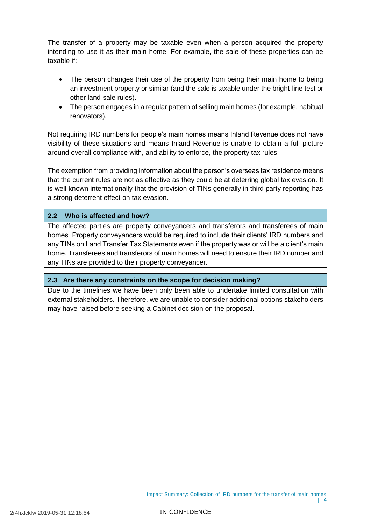The transfer of a property may be taxable even when a person acquired the property intending to use it as their main home. For example, the sale of these properties can be taxable if:

- The person changes their use of the property from being their main home to being an investment property or similar (and the sale is taxable under the bright-line test or other land-sale rules).
- The person engages in a regular pattern of selling main homes (for example, habitual renovators).

Not requiring IRD numbers for people's main homes means Inland Revenue does not have visibility of these situations and means Inland Revenue is unable to obtain a full picture around overall compliance with, and ability to enforce, the property tax rules.

The exemption from providing information about the person's overseas tax residence means that the current rules are not as effective as they could be at deterring global tax evasion. It is well known internationally that the provision of TINs generally in third party reporting has a strong deterrent effect on tax evasion.

### **2.2 Who is affected and how?**

The affected parties are property conveyancers and transferors and transferees of main homes. Property conveyancers would be required to include their clients' IRD numbers and any TINs on Land Transfer Tax Statements even if the property was or will be a client's main home. Transferees and transferors of main homes will need to ensure their IRD number and any TINs are provided to their property conveyancer.

### **2.3 Are there any constraints on the scope for decision making?**

Due to the timelines we have been only been able to undertake limited consultation with external stakeholders. Therefore, we are unable to consider additional options stakeholders may have raised before seeking a Cabinet decision on the proposal.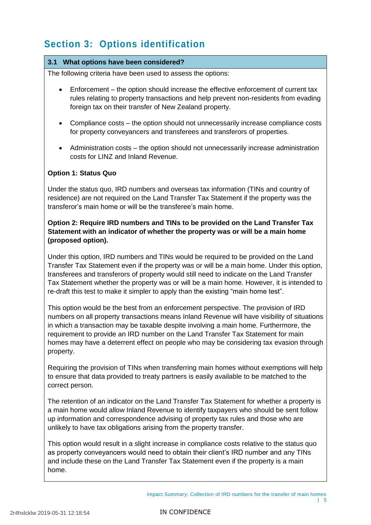# **Section 3: Options identification**

### **3.1 What options have been considered?**

The following criteria have been used to assess the options:

- Enforcement the option should increase the effective enforcement of current tax rules relating to property transactions and help prevent non-residents from evading foreign tax on their transfer of New Zealand property.
- Compliance costs the option should not unnecessarily increase compliance costs for property conveyancers and transferees and transferors of properties.
- Administration costs the option should not unnecessarily increase administration costs for LINZ and Inland Revenue.

### **Option 1: Status Quo**

Under the status quo, IRD numbers and overseas tax information (TINs and country of residence) are not required on the Land Transfer Tax Statement if the property was the transferor's main home or will be the transferee's main home.

### **Option 2: Require IRD numbers and TINs to be provided on the Land Transfer Tax Statement with an indicator of whether the property was or will be a main home (proposed option).**

Under this option, IRD numbers and TINs would be required to be provided on the Land Transfer Tax Statement even if the property was or will be a main home. Under this option, transferees and transferors of property would still need to indicate on the Land Transfer Tax Statement whether the property was or will be a main home. However, it is intended to re-draft this test to make it simpler to apply than the existing "main home test".

This option would be the best from an enforcement perspective. The provision of IRD numbers on all property transactions means Inland Revenue will have visibility of situations in which a transaction may be taxable despite involving a main home. Furthermore, the requirement to provide an IRD number on the Land Transfer Tax Statement for main homes may have a deterrent effect on people who may be considering tax evasion through property.

Requiring the provision of TINs when transferring main homes without exemptions will help to ensure that data provided to treaty partners is easily available to be matched to the correct person.

The retention of an indicator on the Land Transfer Tax Statement for whether a property is a main home would allow Inland Revenue to identify taxpayers who should be sent follow up information and correspondence advising of property tax rules and those who are unlikely to have tax obligations arising from the property transfer.

This option would result in a slight increase in compliance costs relative to the status quo as property conveyancers would need to obtain their client's IRD number and any TINs and include these on the Land Transfer Tax Statement even if the property is a main home.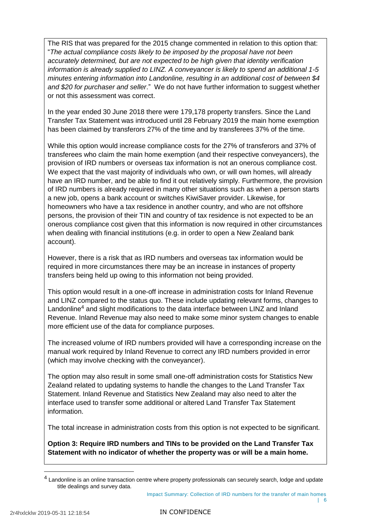The RIS that was prepared for the 2015 change commented in relation to this option that: "*The actual compliance costs likely to be imposed by the proposal have not been accurately determined, but are not expected to be high given that identity verification information is already supplied to LINZ. A conveyancer is likely to spend an additional 1-5 minutes entering information into Landonline, resulting in an additional cost of between \$4 and \$20 for purchaser and seller*." We do not have further information to suggest whether or not this assessment was correct.

In the year ended 30 June 2018 there were 179,178 property transfers. Since the Land Transfer Tax Statement was introduced until 28 February 2019 the main home exemption has been claimed by transferors 27% of the time and by transferees 37% of the time.

While this option would increase compliance costs for the 27% of transferors and 37% of transferees who claim the main home exemption (and their respective conveyancers), the provision of IRD numbers or overseas tax information is not an onerous compliance cost. We expect that the vast majority of individuals who own, or will own homes, will already have an IRD number, and be able to find it out relatively simply. Furthermore, the provision of IRD numbers is already required in many other situations such as when a person starts a new job, opens a bank account or switches KiwiSaver provider. Likewise, for homeowners who have a tax residence in another country, and who are not offshore persons, the provision of their TIN and country of tax residence is not expected to be an onerous compliance cost given that this information is now required in other circumstances when dealing with financial institutions (e.g. in order to open a New Zealand bank account).

However, there is a risk that as IRD numbers and overseas tax information would be required in more circumstances there may be an increase in instances of property transfers being held up owing to this information not being provided.

This option would result in a one-off increase in administration costs for Inland Revenue and LINZ compared to the status quo. These include updating relevant forms, changes to Landonline<sup>4</sup> and slight modifications to the data interface between LINZ and Inland Revenue. Inland Revenue may also need to make some minor system changes to enable more efficient use of the data for compliance purposes.

The increased volume of IRD numbers provided will have a corresponding increase on the manual work required by Inland Revenue to correct any IRD numbers provided in error (which may involve checking with the conveyancer).

The option may also result in some small one-off administration costs for Statistics New Zealand related to updating systems to handle the changes to the Land Transfer Tax Statement. Inland Revenue and Statistics New Zealand may also need to alter the interface used to transfer some additional or altered Land Transfer Tax Statement information.

The total increase in administration costs from this option is not expected to be significant.

**Option 3: Require IRD numbers and TINs to be provided on the Land Transfer Tax Statement with no indicator of whether the property was or will be a main home.**

 $\overline{a}$ 

<sup>&</sup>lt;sup>4</sup> Landonline is an online transaction centre where property professionals can securely search, lodge and update title dealings and survey data.

Impact Summary: Collection of IRD numbers for the transfer of main homes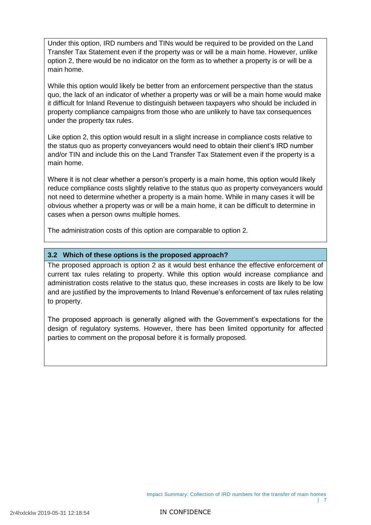Under this option, IRD numbers and TINs would be required to be provided on the Land Transfer Tax Statement even if the property was or will be a main home. However, unlike option 2, there would be no indicator on the form as to whether a property is or will be a main home.

While this option would likely be better from an enforcement perspective than the status quo, the lack of an indicator of whether a property was or will be a main home would make it difficult for Inland Revenue to distinguish between taxpayers who should be included in property compliance campaigns from those who are unlikely to have tax consequences under the property tax rules.

Like option 2, this option would result in a slight increase in compliance costs relative to the status quo as property conveyancers would need to obtain their client's IRD number and/or TIN and include this on the Land Transfer Tax Statement even if the property is a main home.

Where it is not clear whether a person's property is a main home, this option would likely reduce compliance costs slightly relative to the status quo as property conveyancers would not need to determine whether a property is a main home. While in many cases it will be obvious whether a property was or will be a main home, it can be difficult to determine in cases when a person owns multiple homes.

The administration costs of this option are comparable to option 2.

### **3.2 Which of these options is the proposed approach?**

The proposed approach is option 2 as it would best enhance the effective enforcement of current tax rules relating to property. While this option would increase compliance and administration costs relative to the status quo, these increases in costs are likely to be low and are justified by the improvements to Inland Revenue's enforcement of tax rules relating to property.

The proposed approach is generally aligned with the Government's expectations for the design of regulatory systems. However, there has been limited opportunity for affected parties to comment on the proposal before it is formally proposed.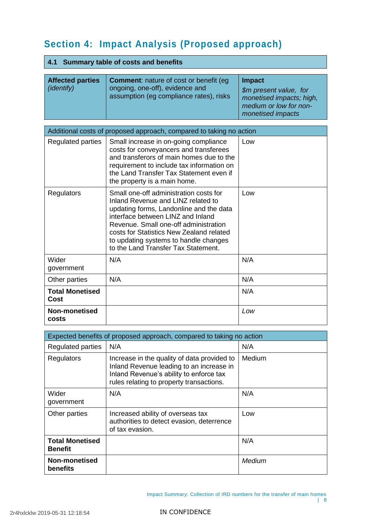# **Section 4: Impact Analysis (Proposed approach)**

## **4.1 Summary table of costs and benefits**

| <b>Affected parties</b><br><i>(identify)</i> | <b>Comment:</b> nature of cost or benefit (eq.<br>ongoing, one-off), evidence and<br>assumption (eg compliance rates), risks | <b>Impact</b><br>\$m present value, for<br>monetised impacts; high,<br>medium or low for non- |
|----------------------------------------------|------------------------------------------------------------------------------------------------------------------------------|-----------------------------------------------------------------------------------------------|
|                                              |                                                                                                                              | monetised impacts                                                                             |

| Additional costs of proposed approach, compared to taking no action |                                                                                                                                                                                                                                                                                                                                   |     |  |
|---------------------------------------------------------------------|-----------------------------------------------------------------------------------------------------------------------------------------------------------------------------------------------------------------------------------------------------------------------------------------------------------------------------------|-----|--|
| Regulated parties                                                   | Small increase in on-going compliance<br>costs for conveyancers and transferees<br>and transferors of main homes due to the<br>requirement to include tax information on<br>the Land Transfer Tax Statement even if<br>the property is a main home.                                                                               | Low |  |
| Regulators                                                          | Small one-off administration costs for<br>Inland Revenue and LINZ related to<br>updating forms, Landonline and the data<br>interface between LINZ and Inland<br>Revenue, Small one-off administration<br>costs for Statistics New Zealand related<br>to updating systems to handle changes<br>to the Land Transfer Tax Statement. | Low |  |
| Wider<br>government                                                 | N/A                                                                                                                                                                                                                                                                                                                               | N/A |  |
| Other parties                                                       | N/A                                                                                                                                                                                                                                                                                                                               | N/A |  |
| <b>Total Monetised</b><br>Cost                                      |                                                                                                                                                                                                                                                                                                                                   | N/A |  |
| Non-monetised<br>costs                                              |                                                                                                                                                                                                                                                                                                                                   | Low |  |

| Expected benefits of proposed approach, compared to taking no action |                                                                                                                                                                                |        |  |
|----------------------------------------------------------------------|--------------------------------------------------------------------------------------------------------------------------------------------------------------------------------|--------|--|
| <b>Regulated parties</b>                                             | N/A                                                                                                                                                                            | N/A    |  |
| Regulators                                                           | Increase in the quality of data provided to<br>Inland Revenue leading to an increase in<br>Inland Revenue's ability to enforce tax<br>rules relating to property transactions. | Medium |  |
| Wider<br>government                                                  | N/A                                                                                                                                                                            | N/A    |  |
| Other parties                                                        | Increased ability of overseas tax<br>authorities to detect evasion, deterrence<br>of tax evasion.                                                                              | Low    |  |
| <b>Total Monetised</b><br><b>Benefit</b>                             |                                                                                                                                                                                | N/A    |  |
| Non-monetised<br>benefits                                            |                                                                                                                                                                                | Medium |  |

Impact Summary: Collection of IRD numbers for the transfer of main homes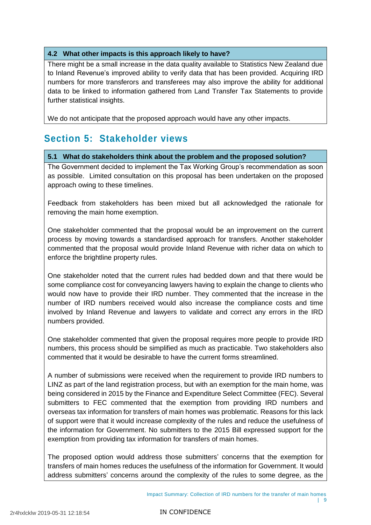### **4.2 What other impacts is this approach likely to have?**

There might be a small increase in the data quality available to Statistics New Zealand due to Inland Revenue's improved ability to verify data that has been provided. Acquiring IRD numbers for more transferors and transferees may also improve the ability for additional data to be linked to information gathered from Land Transfer Tax Statements to provide further statistical insights.

We do not anticipate that the proposed approach would have any other impacts.

# **Section 5: Stakeholder views**

### **5.1 What do stakeholders think about the problem and the proposed solution?**

The Government decided to implement the Tax Working Group's recommendation as soon as possible. Limited consultation on this proposal has been undertaken on the proposed approach owing to these timelines.

Feedback from stakeholders has been mixed but all acknowledged the rationale for removing the main home exemption.

One stakeholder commented that the proposal would be an improvement on the current process by moving towards a standardised approach for transfers. Another stakeholder commented that the proposal would provide Inland Revenue with richer data on which to enforce the brightline property rules.

One stakeholder noted that the current rules had bedded down and that there would be some compliance cost for conveyancing lawyers having to explain the change to clients who would now have to provide their IRD number. They commented that the increase in the number of IRD numbers received would also increase the compliance costs and time involved by Inland Revenue and lawyers to validate and correct any errors in the IRD numbers provided.

One stakeholder commented that given the proposal requires more people to provide IRD numbers, this process should be simplified as much as practicable. Two stakeholders also commented that it would be desirable to have the current forms streamlined.

A number of submissions were received when the requirement to provide IRD numbers to LINZ as part of the land registration process, but with an exemption for the main home, was being considered in 2015 by the Finance and Expenditure Select Committee (FEC). Several submitters to FEC commented that the exemption from providing IRD numbers and overseas tax information for transfers of main homes was problematic. Reasons for this lack of support were that it would increase complexity of the rules and reduce the usefulness of the information for Government. No submitters to the 2015 Bill expressed support for the exemption from providing tax information for transfers of main homes.

The proposed option would address those submitters' concerns that the exemption for transfers of main homes reduces the usefulness of the information for Government. It would address submitters' concerns around the complexity of the rules to some degree, as the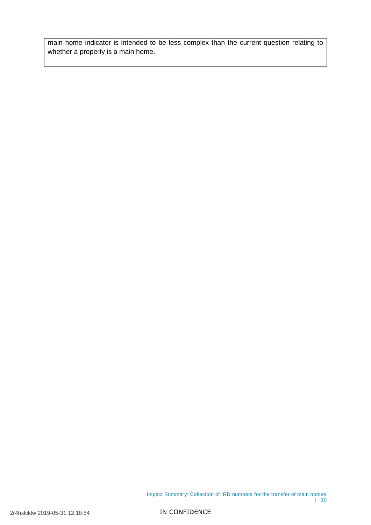main home indicator is intended to be less complex than the current question relating to whether a property is a main home.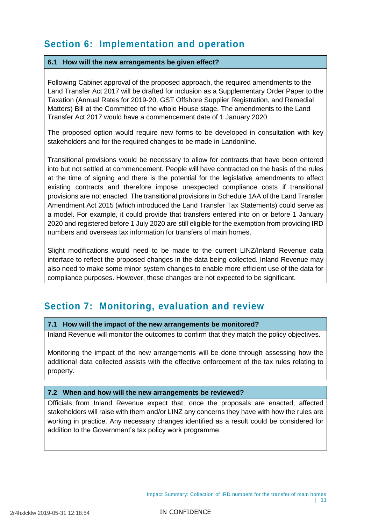# **Section 6: Implementation and operation**

### **6.1 How will the new arrangements be given effect?**

Following Cabinet approval of the proposed approach, the required amendments to the Land Transfer Act 2017 will be drafted for inclusion as a Supplementary Order Paper to the Taxation (Annual Rates for 2019-20, GST Offshore Supplier Registration, and Remedial Matters) Bill at the Committee of the whole House stage. The amendments to the Land Transfer Act 2017 would have a commencement date of 1 January 2020.

The proposed option would require new forms to be developed in consultation with key stakeholders and for the required changes to be made in Landonline.

Transitional provisions would be necessary to allow for contracts that have been entered into but not settled at commencement. People will have contracted on the basis of the rules at the time of signing and there is the potential for the legislative amendments to affect existing contracts and therefore impose unexpected compliance costs if transitional provisions are not enacted. The transitional provisions in Schedule 1AA of the Land Transfer Amendment Act 2015 (which introduced the Land Transfer Tax Statements) could serve as a model. For example, it could provide that transfers entered into on or before 1 January 2020 and registered before 1 July 2020 are still eligible for the exemption from providing IRD numbers and overseas tax information for transfers of main homes.

Slight modifications would need to be made to the current LINZ/Inland Revenue data interface to reflect the proposed changes in the data being collected. Inland Revenue may also need to make some minor system changes to enable more efficient use of the data for compliance purposes. However, these changes are not expected to be significant.

# **Section 7: Monitoring, evaluation and review**

### **7.1 How will the impact of the new arrangements be monitored?**

Inland Revenue will monitor the outcomes to confirm that they match the policy objectives.

Monitoring the impact of the new arrangements will be done through assessing how the additional data collected assists with the effective enforcement of the tax rules relating to property.

### **7.2 When and how will the new arrangements be reviewed?**

Officials from Inland Revenue expect that, once the proposals are enacted, affected stakeholders will raise with them and/or LINZ any concerns they have with how the rules are working in practice. Any necessary changes identified as a result could be considered for addition to the Government's tax policy work programme.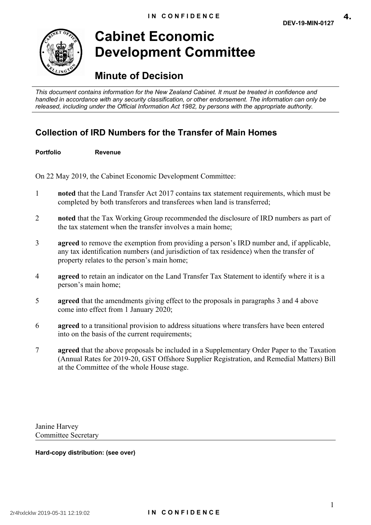**4.**

<span id="page-28-0"></span>

# **Cabinet Economic Development Committee**

# **Minute of Decision**

 *This document contains information for the New Zealand Cabinet. It must be treated in confidence and handled in accordance with any security classification, or other endorsement. The information can only be released, including under the Official Information Act 1982, by persons with the appropriate authority.* 

## **Collection of IRD Numbers for the Transfer of Main Homes**

**Portfolio Revenue** 

On 22 May 2019, the Cabinet Economic Development Committee:

- 1 **noted** that the Land Transfer Act 2017 contains tax statement requirements, which must be completed by both transferors and transferees when land is transferred;
- 2 **noted** that the Tax Working Group recommended the disclosure of IRD numbers as part of the tax statement when the transfer involves a main home;
- 3 **a reed** to remove the exemption from providing a person's IRD number and, if applicable, any tax identification numbers (and jurisdiction of tax residence) when the transfer of property relates to the person's main home;
- 4 **a reed** to retain an indicator on the Land Transfer Tax Statement to identify where it is a person's main home;
- 5 **a reed** that the amendments giving effect to the proposals in paragraphs 3 and 4 above come into effect from 1 January 2020;
- 6 **a reed** to a transitional provision to address situations where transfers have been entered into on the basis of the current requirements;
- 7 **agreed** that the above proposals be included in a Supplementary Order Paper to the Taxation (Annual Rates for 2019-20, GST Offshore Supplier Registration, and Remedial Matters) Bill at the Committee of the whole House stage.

Janine Harvey Committee Secretary

 **Hard-copy distribution: (see over)**